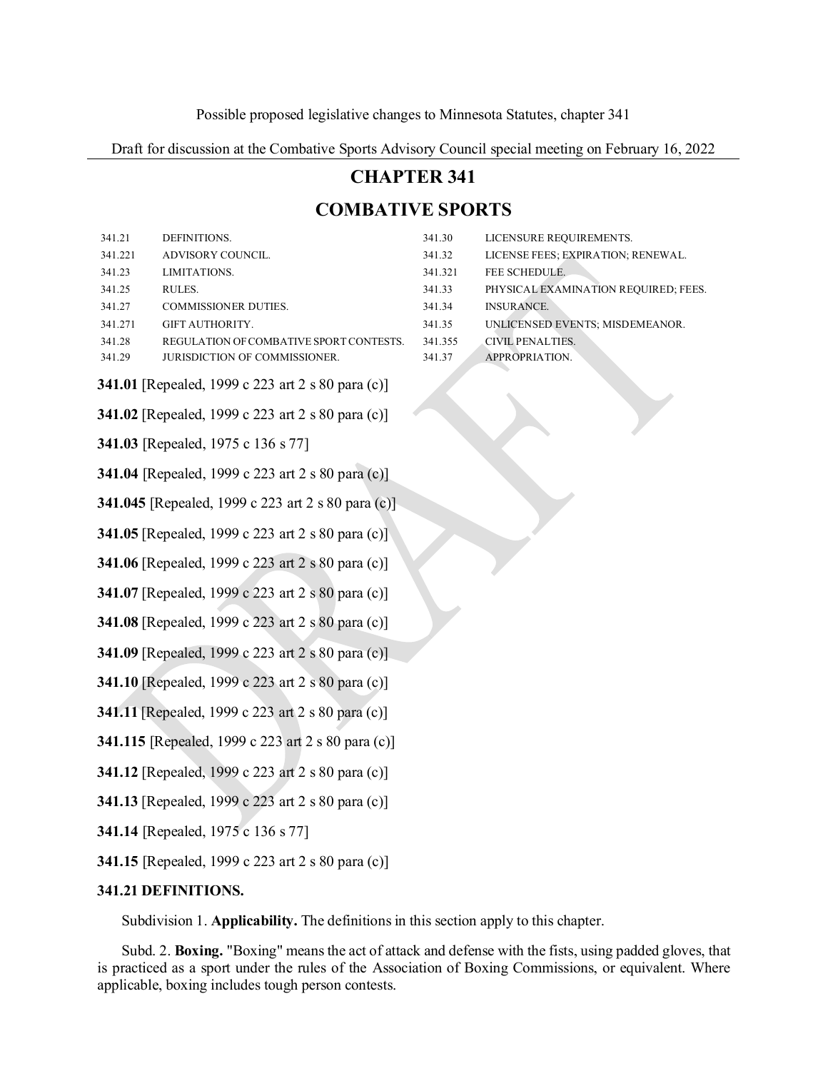Draft for discussion at the Combative Sports Advisory Council special meeting on February 16, 2022

# **CHAPTER 341**

# **COMBATIVE SPORTS**

| 341.21                                                   | DEFINITIONS.                            | 341.30  | LICENSURE REQUIREMENTS.              |
|----------------------------------------------------------|-----------------------------------------|---------|--------------------------------------|
| 341.221                                                  | ADVISORY COUNCIL.                       | 341.32  | LICENSE FEES; EXPIRATION; RENEWAL.   |
| 341.23                                                   | LIMITATIONS.                            | 341.321 | FEE SCHEDULE.                        |
| 341.25                                                   | RULES.                                  | 341.33  | PHYSICAL EXAMINATION REQUIRED; FEES. |
| 341.27                                                   | COMMISSIONER DUTIES.                    | 341.34  | <b>INSURANCE.</b>                    |
| 341.271                                                  | GIFT AUTHORITY.                         | 341.35  | UNLICENSED EVENTS; MISDEMEANOR.      |
| 341.28                                                   | REGULATION OF COMBATIVE SPORT CONTESTS. | 341.355 | CIVIL PENALTIES.                     |
| 341.29                                                   | JURISDICTION OF COMMISSIONER.           | 341.37  | APPROPRIATION.                       |
| <b>341.01</b> [Repealed, 1999 c 223 art 2 s 80 para (c)] |                                         |         |                                      |
| 341.02 [Repealed, 1999 c 223 art 2 s 80 para (c)]        |                                         |         |                                      |
| 341.03 [Repealed, 1975 c 136 s 77]                       |                                         |         |                                      |
| 341.04 [Repealed, 1999 c 223 art 2 s 80 para (c)]        |                                         |         |                                      |
| 341.045 [Repealed, 1999 c 223 art 2 s 80 para (c)]       |                                         |         |                                      |
| 341.05 [Repealed, 1999 c 223 art 2 s 80 para (c)]        |                                         |         |                                      |
| 341.06 [Repealed, 1999 c 223 art 2 s 80 para (c)]        |                                         |         |                                      |
| 341.07 [Repealed, 1999 c 223 art 2 s 80 para (c)]        |                                         |         |                                      |
| 341.08 [Repealed, 1999 c 223 art 2 s 80 para (c)]        |                                         |         |                                      |
| 341.09 [Repealed, 1999 c 223 art 2 s 80 para (c)]        |                                         |         |                                      |
| <b>341.10</b> [Repealed, 1999 c 223 art 2 s 80 para (c)] |                                         |         |                                      |
| <b>341.11</b> [Repealed, 1999 c 223 art 2 s 80 para (c)] |                                         |         |                                      |
| 341.115 [Repealed, 1999 c 223 art 2 s 80 para (c)]       |                                         |         |                                      |
| 341.12 [Repealed, 1999 c 223 art 2 s 80 para (c)]        |                                         |         |                                      |
| <b>341.13</b> [Repealed, 1999 c 223 art 2 s 80 para (c)] |                                         |         |                                      |
| <b>341.14</b> [Repealed, 1975 c 136 s 77]                |                                         |         |                                      |
|                                                          |                                         |         |                                      |

<span id="page-0-0"></span>**341.15** [Repealed, 1999 c 223 art 2 s 80 para (c)]

# **341.21 DEFINITIONS.**

Subdivision 1. **Applicability.** The definitionsin this section apply to this chapter.

Subd. 2. Boxing. "Boxing" means the act of attack and defense with the fists, using padded gloves, that is practiced as a sport under the rules of the Association of Boxing Commissions, or equivalent. Where applicable, boxing includes tough person contests.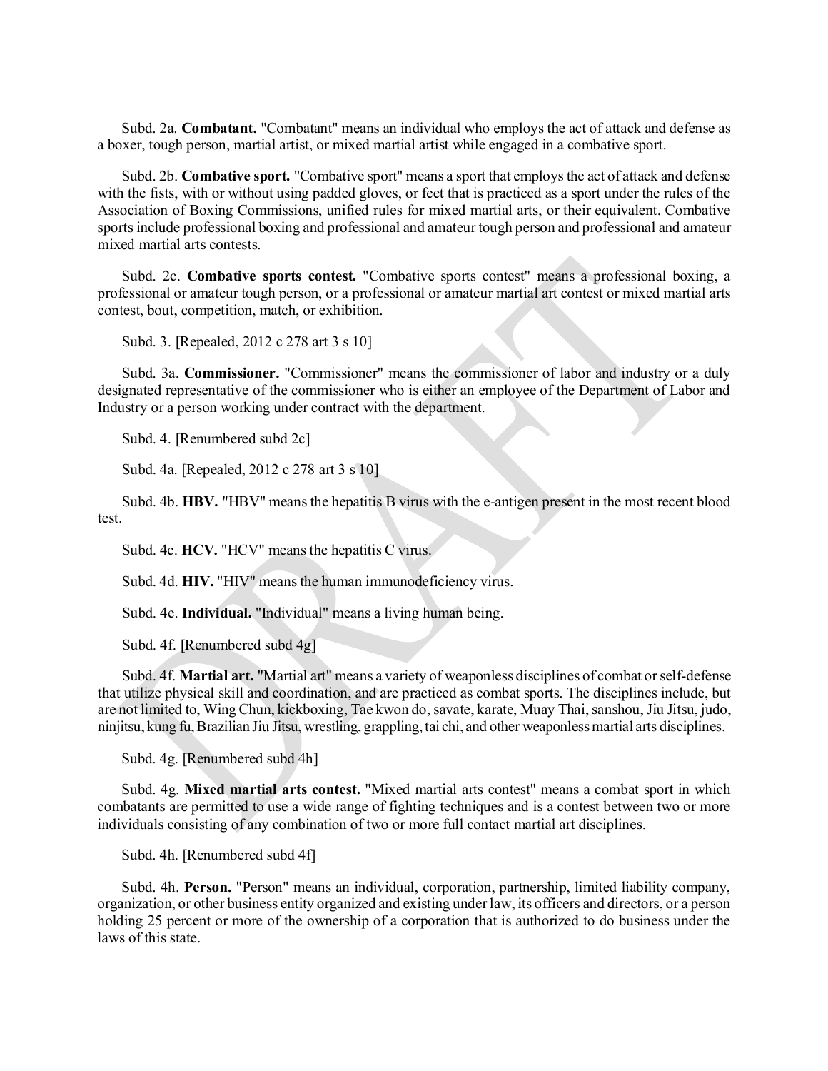Subd. 2a. **Combatant.** "Combatant" means an individual who employsthe act of attack and defense as a boxer, tough person, martial artist, or mixed martial artist while engaged in a combative sport.

Subd. 2b. **Combative sport.** "Combative sport" means a sport that employsthe act of attack and defense with the fists, with or without using padded gloves, or feet that is practiced as a sport under the rules of the Association of Boxing Commissions, unified rules for mixed martial arts, or their equivalent. Combative sports include professional boxing and professional and amateur tough person and professional and amateur mixed martial arts contests.

Subd. 2c. **Combative sports contest.** "Combative sports contest" means a professional boxing, a professional or amateur tough person, or a professional or amateur martial art contest or mixed martial arts contest, bout, competition, match, or exhibition.

Subd. 3. [Repealed, 2012 c 278 art 3 s 10]

Subd. 3a. **Commissioner.** "Commissioner" means the commissioner of labor and industry or a duly designated representative of the commissioner who is either an employee of the Department of Labor and Industry or a person working under contract with the department.

Subd. 4. [Renumbered subd 2c]

Subd. 4a. [Repealed, 2012 c 278 art 3 s 10]

Subd. 4b. **HBV.** "HBV" means the hepatitis B virus with the e-antigen present in the most recent blood test.

Subd. 4c. HCV. "HCV" means the hepatitis C virus.

Subd. 4d. **HIV.** "HIV" means the human immunodeficiency virus.

Subd. 4e. **Individual.** "Individual" means a living human being.

Subd. 4f. [Renumbered subd 4g]

Subd. 4f. **Martial art.** "Martial art" means a variety of weaponless disciplines of combat orself-defense that utilize physical skill and coordination, and are practiced as combat sports. The disciplines include, but are not limited to, Wing Chun, kickboxing, Tae kwon do, savate, karate, Muay Thai,sanshou, Jiu Jitsu, judo, ninjitsu, kung fu,Brazilian Jiu Jitsu, wrestling, grappling,tai chi, and other weaponlessmartial arts disciplines.

Subd. 4g. [Renumbered subd 4h]

Subd. 4g. **Mixed martial arts contest.** "Mixed martial arts contest" means a combat sport in which combatants are permitted to use a wide range of fighting techniques and is a contest between two or more individuals consisting of any combination of two or more full contact martial art disciplines.

Subd. 4h. [Renumbered subd 4f]

Subd. 4h. **Person.** "Person" means an individual, corporation, partnership, limited liability company, organization, or other business entity organized and existing underlaw, its officers and directors, or a person holding 25 percent or more of the ownership of a corporation that is authorized to do business under the laws of this state.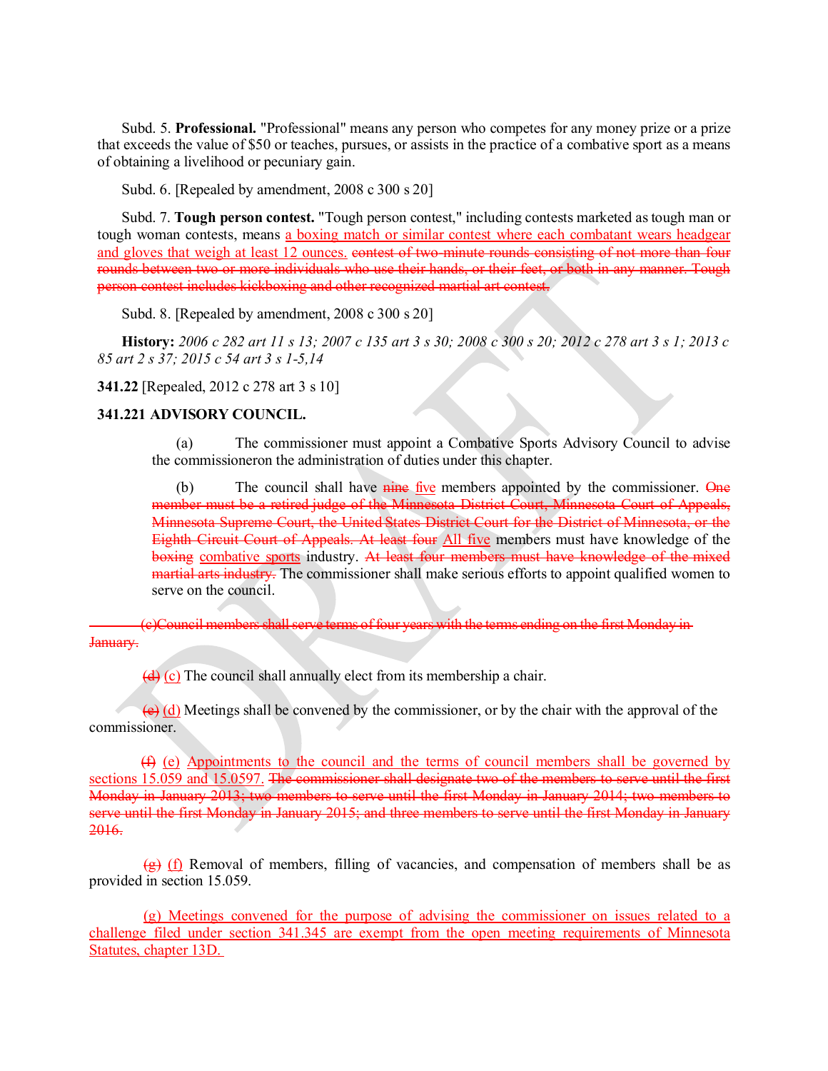Subd. 5. **Professional.** "Professional" means any person who competes for any money prize or a prize that exceeds the value of \$50 or teaches, pursues, or assists in the practice of a combative sport as a means of obtaining a livelihood or pecuniary gain.

Subd. 6. [Repealed by amendment, 2008 c 300 s 20]

Subd. 7. **Tough person contest.** "Tough person contest," including contests marketed astough man or tough woman contests, means a boxing match or similar contest where each combatant wears headgear and gloves that weigh at least 12 ounces, contest of two-minute rounds consisting of not more than four rounds between two or more individuals who use their hands, or their feet, or both in any manner. Tough person contest includes kickboxing and other recognized martial art contest.

Subd. 8. [Repealed by amendment, 2008 c 300 s 20]

<span id="page-2-0"></span>History: 2006 c 282 art 11 s 13; 2007 c 135 art 3 s 30; 2008 c 300 s 20; 2012 c 278 art 3 s 1; 2013 c *85 art 2 s 37; 2015 c 54 art 3 s 1-5,14*

**341.22** [Repealed, 2012 c 278 art 3 s 10]

#### **341.221 ADVISORY COUNCIL.**

(a) The commissioner must appoint a Combative Sports Advisory Council to advise the commissioneron the administration of duties under this chapter.

 $(b)$  The council shall have nine five members appointed by the commissioner. One member must be a retired judge of the Minnesota District Court, Minnesota Court of Appeals, Minnesota Supreme Court, the United States District Court for the District of Minnesota, or the Eighth Circuit Court of Appeals. At least four All five members must have knowledge of the boxing combative sports industry. At least four members must have knowledge of the mixed martial arts industry. The commissioner shall make serious efforts to appoint qualified women to serve on the council.

(c)Council members shall serve terms of four years with the terms ending on the first Monday in-January.

(d) (c) The council shall annually elect from its membership a chair.

(e) (d) Meetings shall be convened by the commissioner, or by the chair with the approval of the commissioner.

<span id="page-2-1"></span>(f) (e) Appointments to the council and the terms of council members shall be governed by sections 15.059 and 15.0597. The commissioner shall designate two of the members to serve until the first Monday in January 2013; two members to serve until the first Monday in January 2014; two members to serve until the first Monday in January 2015; and three members to serve until the first Monday in January 2016.

 $\left(\frac{g}{g}\right)$  (f) Removal of members, filling of vacancies, and compensation of members shall be as provided in section 15.059.

(g) Meetings convened for the purpose of advising the commissioner on issues related to a challenge filed under section 341.345 are exempt from the open meeting requirements of Minnesota Statutes, chapter 13D.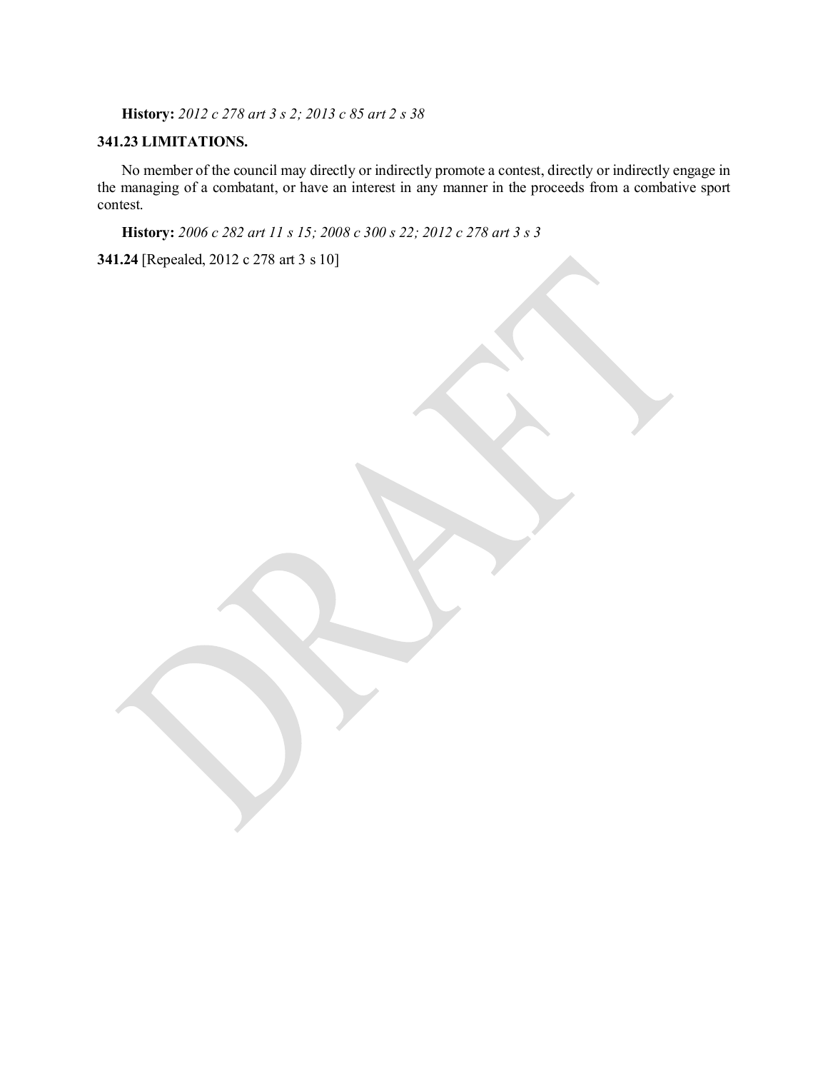**History:** *2012 c 278 art 3 s 2; 2013 c 85 art 2 s 38*

# **341.23 LIMITATIONS.**

<span id="page-3-0"></span>No member of the council may directly or indirectly promote a contest, directly or indirectly engage in the managing of a combatant, or have an interest in any manner in the proceeds from a combative sport contest.

**History:** *2006 c 282 art 11 s 15; 2008 c 300 s 22; 2012 c 278 art 3 s 3*

**341.24** [Repealed, 2012 c 278 art 3 s 10]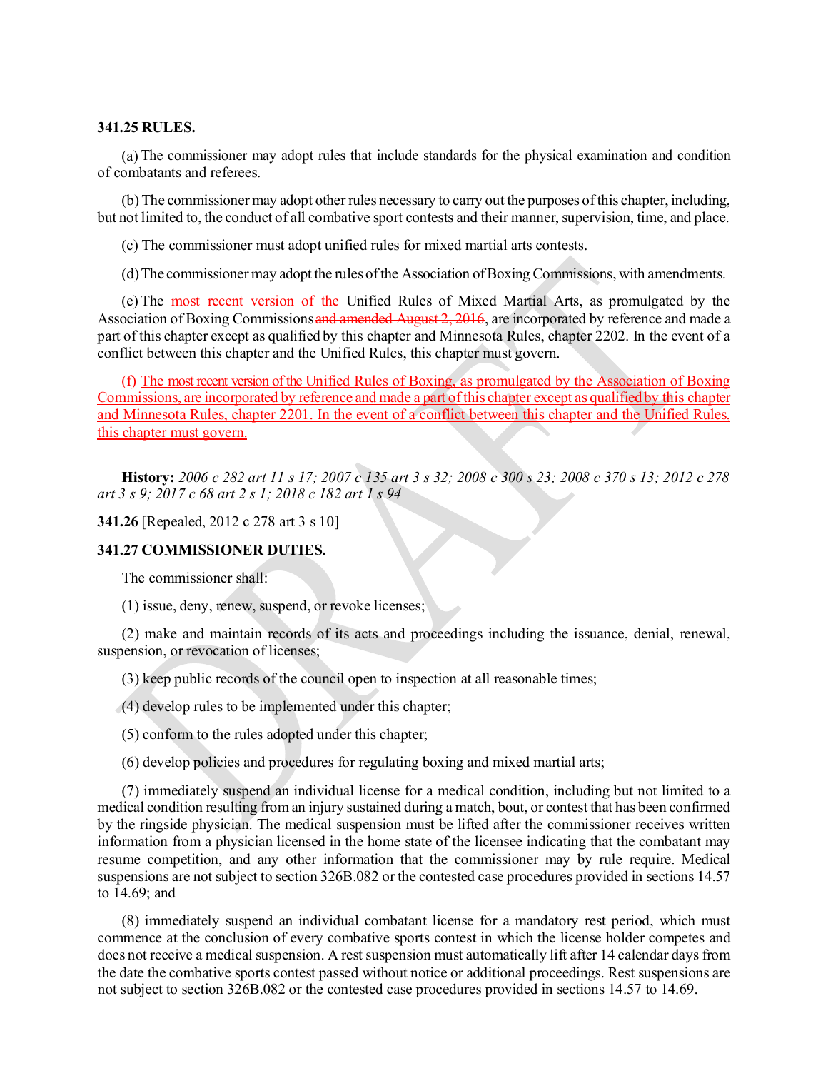#### **341.25 RULES.**

(a) The commissioner may adopt rules that include standards for the physical examination and condition of combatants and referees.

(b)The commissionermay adopt other rules necessary to carry out the purposes ofthis chapter, including, but not limited to, the conduct of all combative sport contests and their manner, supervision, time, and place.

(c) The commissioner must adopt unified rules for mixed martial arts contests.

(d)The commissionermay adopt the rules ofthe Association ofBoxing Commissions, with amendments.

(e)The most recent version of the Unified Rules of Mixed Martial Arts, as promulgated by the Association of Boxing Commissions and amended August 2, 2016, are incorporated by reference and made a part of this chapter except as qualified by this chapter and Minnesota Rules, chapter 2202. In the event of a conflict between this chapter and the Unified Rules, this chapter must govern.

(f) The most recent version of the Unified Rules of Boxing, as promulgated by the Association of Boxing Commissions, are incorporated by reference and made a part ofthis chapter except as qualifiedby this chapter and Minnesota Rules, chapter 2201. In the event of a conflict between this chapter and the Unified Rules, this chapter must govern.

<span id="page-4-0"></span>History: 2006 c 282 art 11 s 17; 2007 c 135 art 3 s 32; 2008 c 300 s 23; 2008 c 370 s 13; 2012 c 278 *art 3 s 9; 2017 c 68 art 2 s 1; 2018 c 182 art 1 s 94*

**341.26** [Repealed, 2012 c 278 art 3 s 10]

#### **341.27 COMMISSIONER DUTIES.**

The commissioner shall:

(1) issue, deny, renew, suspend, or revoke licenses;

(2) make and maintain records of its acts and proceedings including the issuance, denial, renewal, suspension, or revocation of licenses;

(3) keep public records of the council open to inspection at all reasonable times;

(4) develop rules to be implemented under this chapter;

(5) conform to the rules adopted under this chapter;

(6) develop policies and procedures for regulating boxing and mixed martial arts;

(7) immediately suspend an individual license for a medical condition, including but not limited to a medical condition resulting from an injury sustained during a match, bout, or contest that has been confirmed by the ringside physician. The medical suspension must be lifted after the commissioner receives written information from a physician licensed in the home state of the licensee indicating that the combatant may resume competition, and any other information that the commissioner may by rule require. Medical suspensions are not subject to section 326B.082 or the contested case procedures provided in sections 14.57 to 14.69; and

<span id="page-4-1"></span>(8) immediately suspend an individual combatant license for a mandatory rest period, which must commence at the conclusion of every combative sports contest in which the license holder competes and does not receive a medical suspension. A rest suspension must automatically lift after 14 calendar days from the date the combative sports contest passed without notice or additional proceedings. Rest suspensions are not subject to section 326B.082 or the contested case procedures provided in sections 14.57 to 14.69.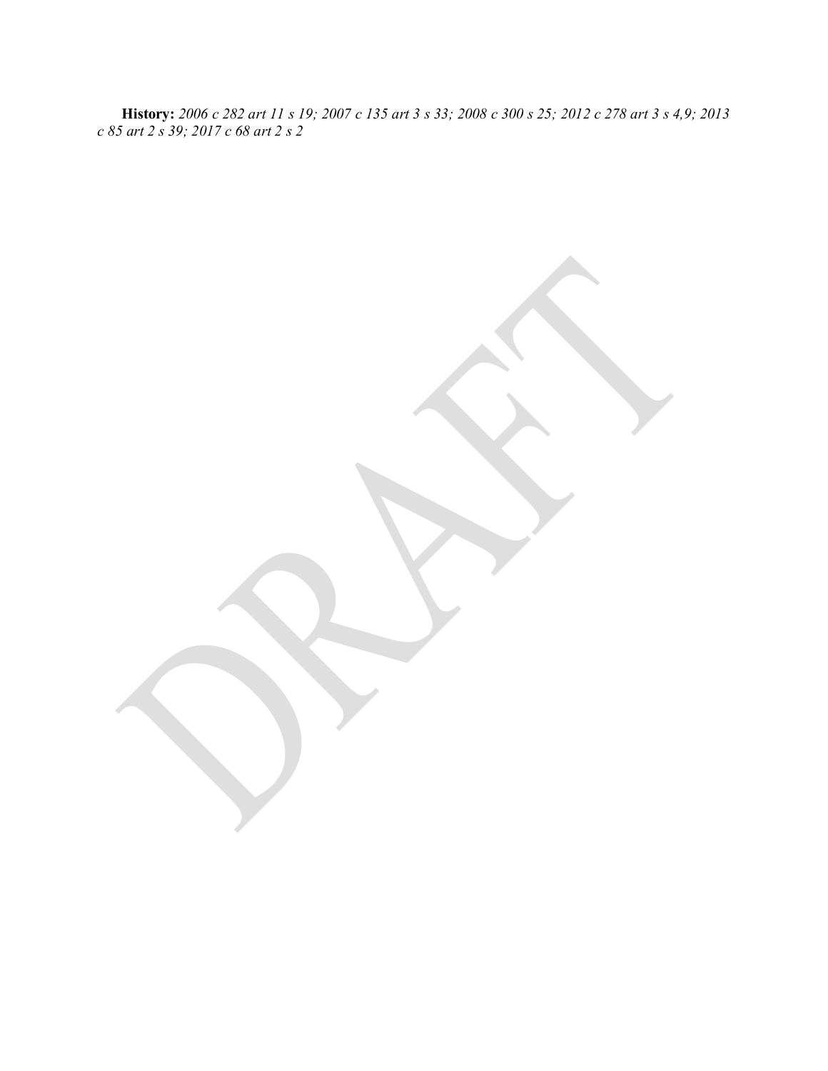**History:** 2006 c 282 art 11 s 19; 2007 c 135 art 3 s 33; 2008 c 300 s 25; 2012 c 278 art 3 s 4,9; 2013 *c 85 art 2 s 39; 2017 c 68 art 2 s 2*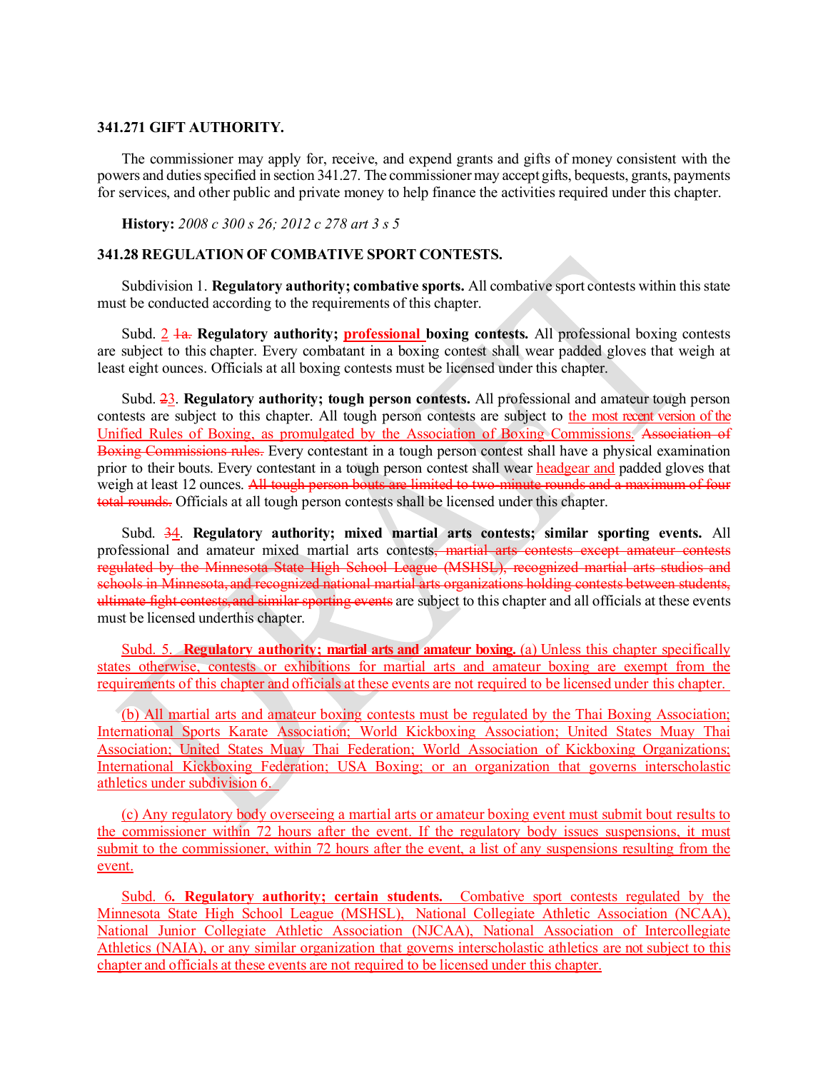#### **341.271 GIFT AUTHORITY.**

The commissioner may apply for, receive, and expend grants and gifts of money consistent with the powers and dutiesspecified in section 341.27. The commissionermay accept gifts, bequests, grants, payments for services, and other public and private money to help finance the activities required under this chapter.

**History:** *2008 c 300 s 26; 2012 c 278 art 3 s 5*

#### **341.28 REGULATION OF COMBATIVE SPORT CONTESTS.**

Subdivision 1. **Regulatory authority; combative sports.** All combative sport contests within thisstate must be conducted according to the requirements of this chapter.

Subd. 2 1a. **Regulatory authority; professional boxing contests.** All professional boxing contests are subject to this chapter. Every combatant in a boxing contest shall wear padded gloves that weigh at least eight ounces. Officials at all boxing contests must be licensed under this chapter.

Subd. 23. **Regulatory authority; tough person contests.** All professional and amateur tough person contests are subject to this chapter. All tough person contests are subject to the most recent version of the Unified Rules of Boxing, as promulgated by the Association of Boxing Commissions. Association of Boxing Commissions rules. Every contestant in a tough person contest shall have a physical examination prior to their bouts. Every contestant in a tough person contest shall wear headgear and padded gloves that weigh at least 12 ounces. All tough person bouts are limited to two-minute rounds and a maximum of four total rounds. Officials at all tough person contests shall be licensed under this chapter.

Subd. 34. **Regulatory authority; mixed martial arts contests; similar sporting events.** All professional and amateur mixed martial arts contests, martial arts contests except amateur contests regulated by the Minnesota State High School League (MSHSL), recognized martial arts studios and schools in Minnesota, and recognized national martial arts organizations holding contests between students, ultimate fight contests, and similar sporting events are subject to this chapter and all officials at these events must be licensed underthis chapter.

Subd. 5. **Regulatory authority; martial arts and amateur boxing.** (a) Unless this chapter specifically states otherwise, contests or exhibitions for martial arts and amateur boxing are exempt from the requirements of this chapter and officials at these events are not required to be licensed under this chapter.

(b) All martial arts and amateur boxing contests must be regulated by the Thai Boxing Association; International Sports Karate Association; World Kickboxing Association; United States Muay Thai Association; United States Muay Thai Federation; World Association of Kickboxing Organizations; International Kickboxing Federation; USA Boxing; or an organization that governs interscholastic athletics under subdivision 6.

(c) Any regulatory body overseeing a martial arts or amateur boxing event must submit bout results to the commissioner within 72 hours after the event. If the regulatory body issues suspensions, it must submit to the commissioner, within 72 hours after the event, a list of any suspensions resulting from the event.

Subd. 6*.* **Regulatory authority; certain students.** Combative sport contests regulated by the Minnesota State High School League (MSHSL), National Collegiate Athletic Association (NCAA), National Junior Collegiate Athletic Association (NJCAA), National Association of Intercollegiate Athletics (NAIA), or any similar organization that governs interscholastic athletics are not subject to this chapter and officials at these events are not required to be licensed under this chapter.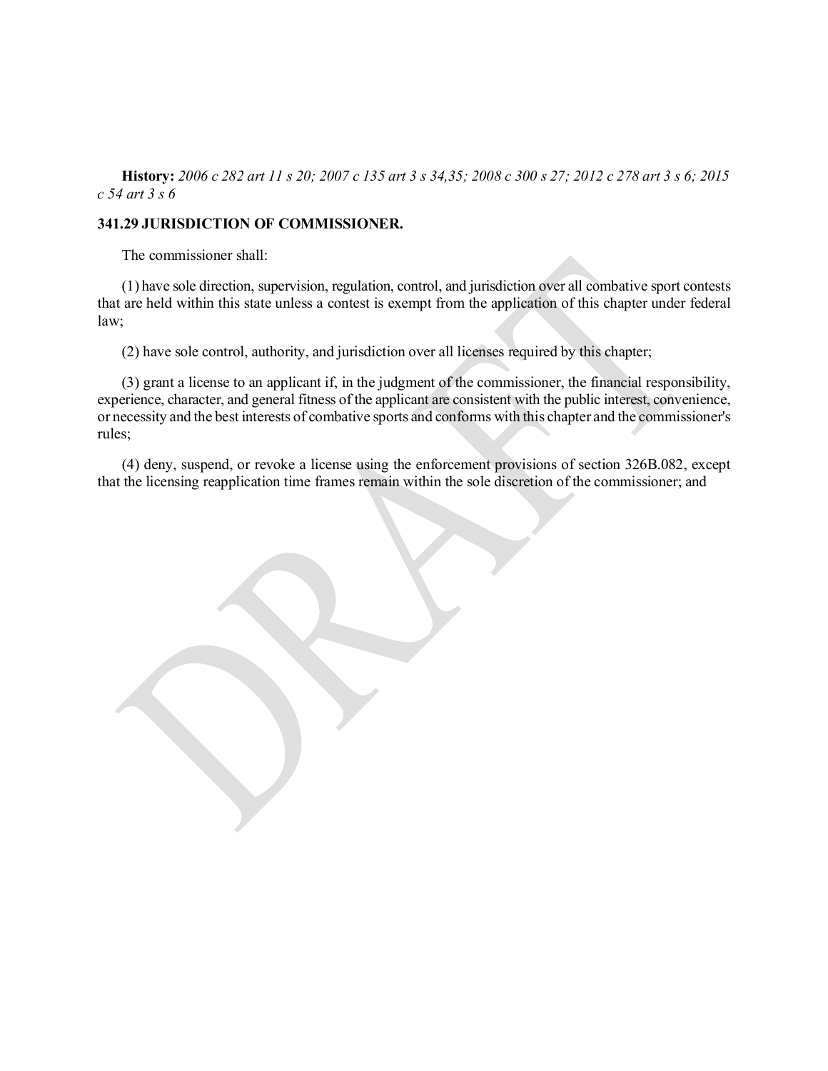History: 2006 c 282 art 11 s 20; 2007 c 135 art 3 s 34,35; 2008 c 300 s 27; 2012 c 278 art 3 s 6; 2015 *c 54 art 3 s 6*

## **341.29 JURISDICTION OF COMMISSIONER.**

The commissioner shall:

(1) have sole direction, supervision, regulation, control, and jurisdiction over all combative sport contests that are held within this state unless a contest is exempt from the application of this chapter under federal law;

(2) have sole control, authority, and jurisdiction over all licenses required by this chapter;

(3) grant a license to an applicant if, in the judgment of the commissioner, the financial responsibility, experience, character, and general fitness of the applicant are consistent with the public interest, convenience, or necessity and the best interests of combative sports and conforms with this chapter and the commissioner's rules;

(4) deny, suspend, or revoke a license using the enforcement provisions of section 326B.082, except that the licensing reapplication time frames remain within the sole discretion of the commissioner; and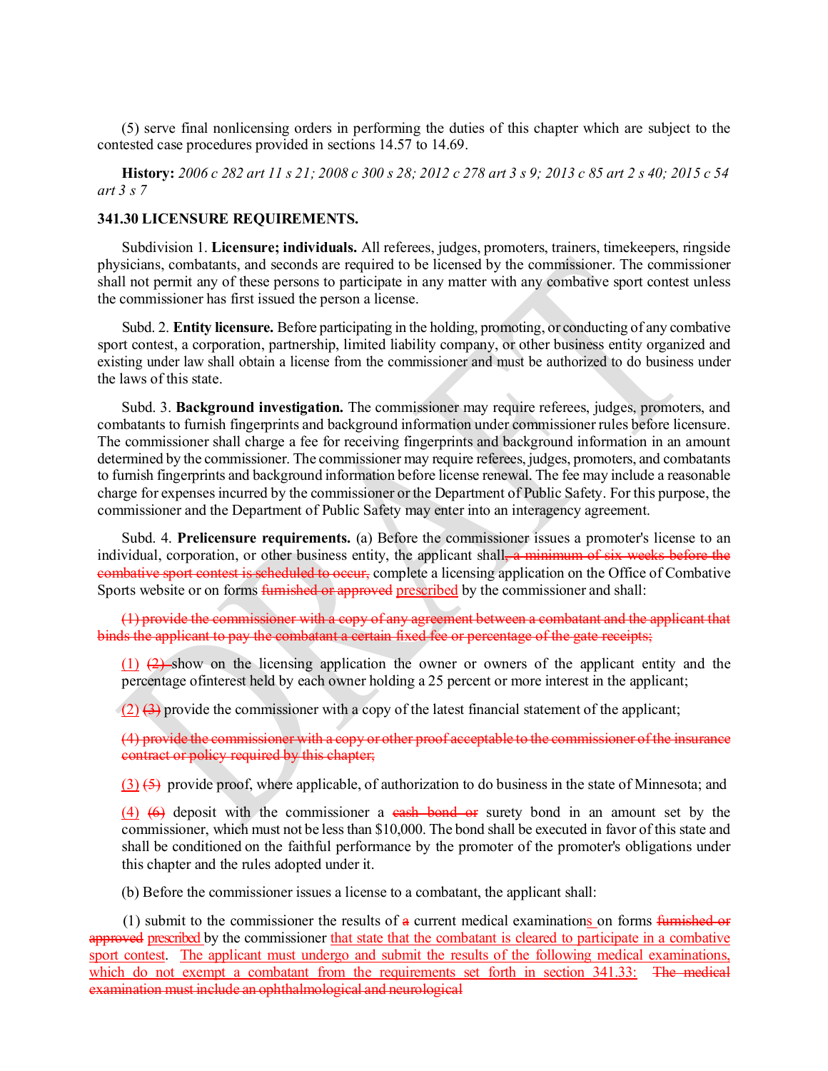(5) serve final nonlicensing orders in performing the duties of this chapter which are subject to the contested case procedures provided in sections 14.57 to 14.69.

<span id="page-9-0"></span>History: 2006 c 282 art 11 s 21; 2008 c 300 s 28; 2012 c 278 art 3 s 9; 2013 c 85 art 2 s 40; 2015 c 54 *art 3 s 7*

## **341.30 LICENSURE REQUIREMENTS.**

Subdivision 1. **Licensure; individuals.** All referees, judges, promoters, trainers, timekeepers, ringside physicians, combatants, and seconds are required to be licensed by the commissioner. The commissioner shall not permit any of these persons to participate in any matter with any combative sport contest unless the commissioner has first issued the person a license.

Subd. 2. **Entity licensure.** Before participating in the holding, promoting, or conducting of any combative sport contest, a corporation, partnership, limited liability company, or other business entity organized and existing under law shall obtain a license from the commissioner and must be authorized to do business under the laws of this state.

Subd. 3. **Background investigation.** The commissioner may require referees, judges, promoters, and combatants to furnish fingerprints and background information under commissioner rules before licensure. The commissioner shall charge a fee for receiving fingerprints and background information in an amount determined by the commissioner. The commissioner may require referees, judges, promoters, and combatants to furnish fingerprints and background information before license renewal. The fee may include a reasonable charge for expensesincurred by the commissioner or the Department of Public Safety. For this purpose, the commissioner and the Department of Public Safety may enter into an interagency agreement.

Subd. 4. **Prelicensure requirements.** (a) Before the commissioner issues a promoter's license to an individual, corporation, or other business entity, the applicant shall, a minimum of six weeks before the combative sport contest is scheduled to occur, complete a licensing application on the Office of Combative Sports website or on forms furnished or approved prescribed by the commissioner and shall:

(1) provide the commissioner with a copy of any agreement between a combatant and the applicant that binds the applicant to pay the combatant a certain fixed fee or percentage of the gate receipts;

(1) (2) show on the licensing application the owner or owners of the applicant entity and the percentage ofinterest held by each owner holding a 25 percent or more interest in the applicant;

 $(2)$   $(3)$  provide the commissioner with a copy of the latest financial statement of the applicant;

(4) provide the commissioner with a copy or other proof acceptable to the commissioner ofthe insurance contract or policy required by this chapter;

 $(3)$  (5) provide proof, where applicable, of authorization to do business in the state of Minnesota; and

(4) ( $\Theta$ ) deposit with the commissioner a cash bond or surety bond in an amount set by the commissioner, which must not be lessthan \$10,000. The bond shall be executed in favor of this state and shall be conditioned on the faithful performance by the promoter of the promoter's obligations under this chapter and the rules adopted under it.

(b) Before the commissioner issues a license to a combatant, the applicant shall:

(1) submit to the commissioner the results of  $\alpha$  current medical examinations on forms furnished or approved prescribed by the commissioner that state that the combatant is cleared to participate in a combative sport contest. The applicant must undergo and submit the results of the following medical examinations, which do not exempt a combatant from the requirements set forth in section 341.33: The medical examination must include an ophthalmological and neurological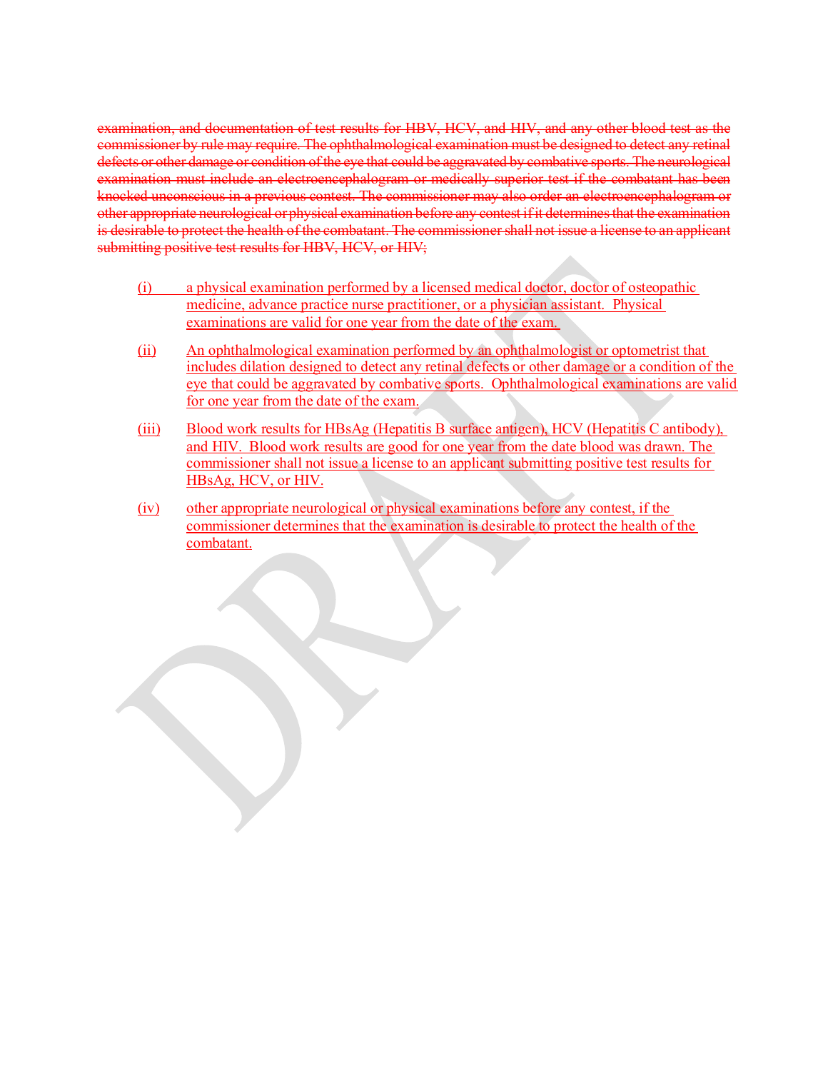examination, and documentation of test results for HBV, HCV, and HIV, and any other blood test as the commissioner by rule may require. The ophthalmological examination must be designed to detect any retinal defects or other damage or condition of the eye that could be aggravated by combative sports. The neurological examination must include an electroencephalogram or medically superior test if the combatant has been knocked unconscious in a previous contest. The commissioner may also order an electroencephalogram or other appropriate neurological orphysical examination before any contest ifit determinesthat the examination is desirable to protect the health of the combatant. The commissionershall not issue a license to an applicant submitting positive test results for HBV, HCV, or HIV;

- (i) a physical examination performed by a licensed medical doctor, doctor of osteopathic medicine, advance practice nurse practitioner, or a physician assistant. Physical examinations are valid for one year from the date of the exam.
- (ii) An ophthalmological examination performed by an ophthalmologist or optometrist that includes dilation designed to detect any retinal defects or other damage or a condition of the eye that could be aggravated by combative sports. Ophthalmological examinations are valid for one year from the date of the exam.
- (iii) Blood work results for HBsAg (Hepatitis B surface antigen), HCV (Hepatitis C antibody), and HIV. Blood work results are good for one year from the date blood was drawn. The commissioner shall not issue a license to an applicant submitting positive test results for HBsAg, HCV, or HIV.
- (iv) other appropriate neurological or physical examinations before any contest, if the commissioner determines that the examination is desirable to protect the health of the combatant.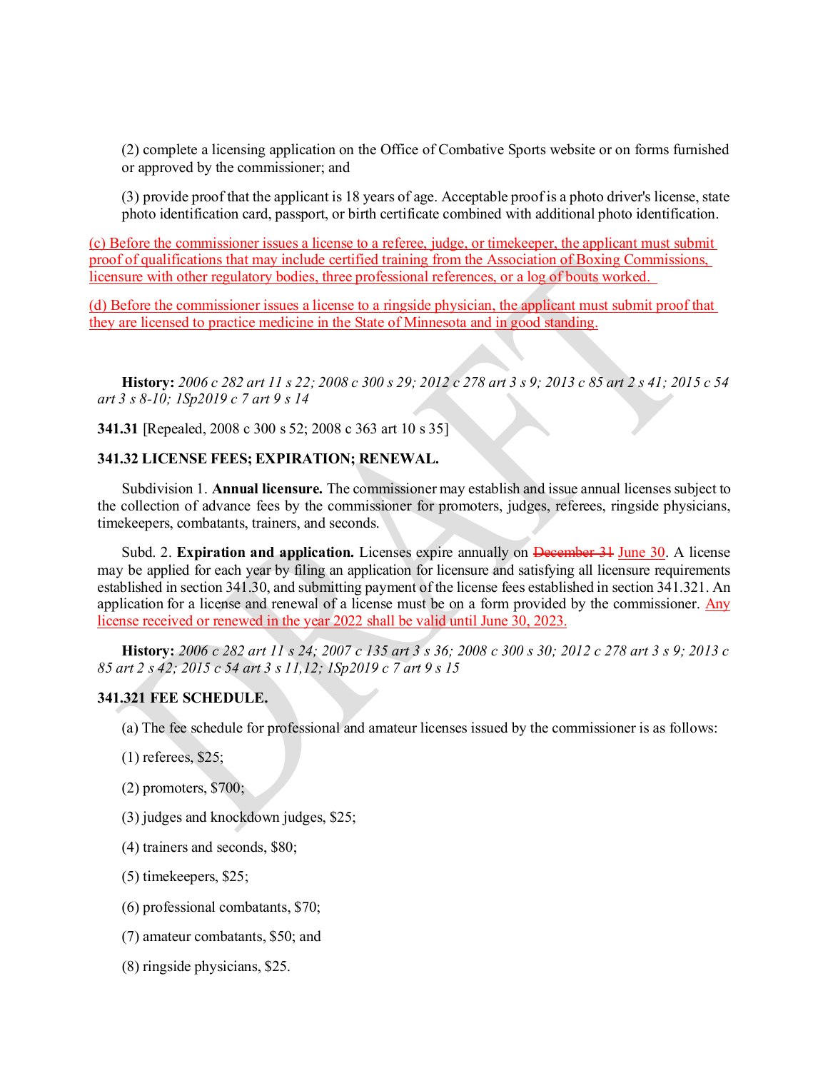(2) complete a licensing application on the Office of Combative Sports website or on forms furnished or approved by the commissioner; and

(3) provide proof that the applicant is 18 years of age. Acceptable proof is a photo driver's license, state photo identification card, passport, or birth certificate combined with additional photo identification.

(c) Before the commissioner issues a license to a referee, judge, or timekeeper, the applicant must submit proof of qualifications that may include certified training from the Association of Boxing Commissions, licensure with other regulatory bodies, three professional references, or a log of bouts worked.

(d) Before the commissioner issues a license to a ringside physician, the applicant must submit proof that they are licensed to practice medicine in the State of Minnesota and in good standing.

<span id="page-12-0"></span>History: 2006 c 282 art 11 s 22; 2008 c 300 s 29; 2012 c 278 art 3 s 9; 2013 c 85 art 2 s 41; 2015 c 54 *art 3 s 8-10; 1Sp2019 c 7 art 9 s 14*

**341.31** [Repealed, 2008 c 300 s 52; 2008 c 363 art 10 s 35]

#### **341.32 LICENSE FEES; EXPIRATION; RENEWAL.**

Subdivision 1. **Annual licensure.** The commissioner may establish and issue annual licensessubject to the collection of advance fees by the commissioner for promoters, judges, referees, ringside physicians, timekeepers, combatants, trainers, and seconds.

<span id="page-12-1"></span>Subd. 2. **Expiration and application.** Licenses expire annually on December 31 June 30. A license may be applied for each year by filing an application for licensure and satisfying all licensure requirements established in section 341.30, and submitting payment of the license fees established in section 341.321. An application for a license and renewal of a license must be on a form provided by the commissioner. Any license received or renewed in the year 2022 shall be valid until June 30, 2023.

History: 2006 c 282 art 11 s 24; 2007 c 135 art 3 s 36; 2008 c 300 s 30; 2012 c 278 art 3 s 9; 2013 c *85 art 2 s 42; 2015 c 54 art 3 s 11,12; 1Sp2019 c 7 art 9 s 15*

#### **341.321 FEE SCHEDULE.**

- (a) The fee schedule for professional and amateur licenses issued by the commissioner is as follows:
- (1) referees, \$25;
- (2) promoters, \$700;
- (3) judges and knockdown judges, \$25;
- (4) trainers and seconds, \$80;
- (5) timekeepers, \$25;
- (6) professional combatants, \$70;
- (7) amateur combatants, \$50; and
- (8) ringside physicians, \$25.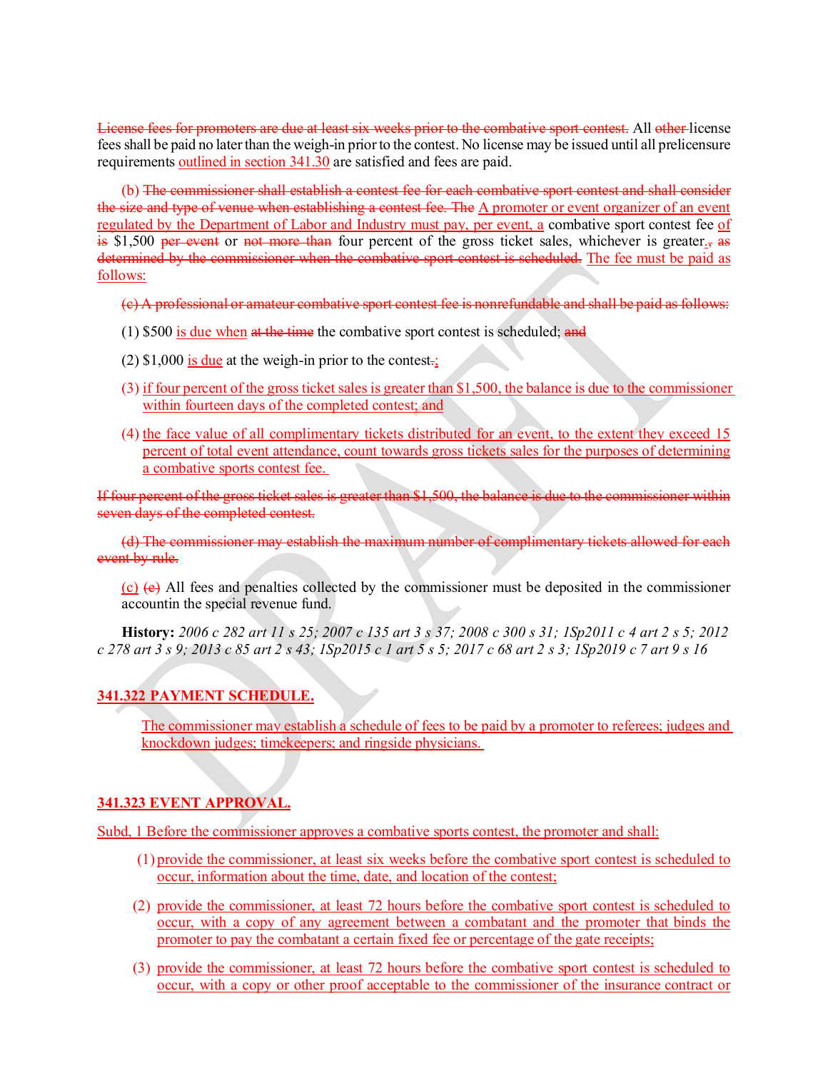License fees for promoters are due at least six weeks prior to the combative sport contest. All other license feesshall be paid no laterthan the weigh-in priorto the contest. No license may be issued until all prelicensure requirements outlined in section 341.30 are satisfied and fees are paid.

(b) The commissioner shall establish a contest fee for each combative sport contest and shall consider the size and type of venue when establishing a contest fee. The A promoter or event organizer of an event regulated by the Department of Labor and Industry must pay, per event, a combative sport contest fee of  $\frac{1}{15}$  \$1,500 per event or not more than four percent of the gross ticket sales, whichever is greater., as determined by the commissioner when the combative sport contest is scheduled. The fee must be paid as follows:

- (c) A professional or amateur combative sport contest fee is nonrefundable and shall be paid as follows:
- $(1)$  \$500 is due when at the time the combative sport contest is scheduled; and
- $(2)$  \$1,000 is due at the weigh-in prior to the contest.;
- (3) if four percent of the grossticket salesis greater than \$1,500, the balance is due to the commissioner within fourteen days of the completed contest; and
- (4) the face value of all complimentary tickets distributed for an event, to the extent they exceed 15 percent of total event attendance, count towards gross tickets sales for the purposes of determining a combative sports contest fee.

If four percent of the gross ticket sales is greater than \$1,500, the balance is due to the commissioner within seven days of the completed contest.

(d) The commissioner may establish the maximum number of complimentary tickets allowed for each event by rule.

<span id="page-13-0"></span> $(c)$  (e) All fees and penalties collected by the commissioner must be deposited in the commissioner accountin the special revenue fund.

History: 2006 c 282 art 11 s 25; 2007 c 135 art 3 s 37; 2008 c 300 s 31; 1Sp2011 c 4 art 2 s 5; 2012 *c 278 art 3 s 9; 2013 c 85 art 2 s 43; 1Sp2015 c 1 art 5 s 5; 2017 c 68 art 2 s 3; 1Sp2019 c 7 art 9 s 16*

## **341.322 PAYMENT SCHEDULE.**

The commissioner may establish a schedule of fees to be paid by a promoter to referees; judges and knockdown judges; timekeepers; and ringside physicians.

## **341.323 EVENT APPROVAL.**

Subd, 1 Before the commissioner approves a combative sports contest, the promoter and shall:

- (1) provide the commissioner, at least six weeks before the combative sport contest is scheduled to occur, information about the time, date, and location of the contest;
- (2) provide the commissioner, at least 72 hours before the combative sport contest is scheduled to occur, with a copy of any agreement between a combatant and the promoter that binds the promoter to pay the combatant a certain fixed fee or percentage of the gate receipts;
- (3) provide the commissioner, at least 72 hours before the combative sport contest is scheduled to occur, with a copy or other proof acceptable to the commissioner of the insurance contract or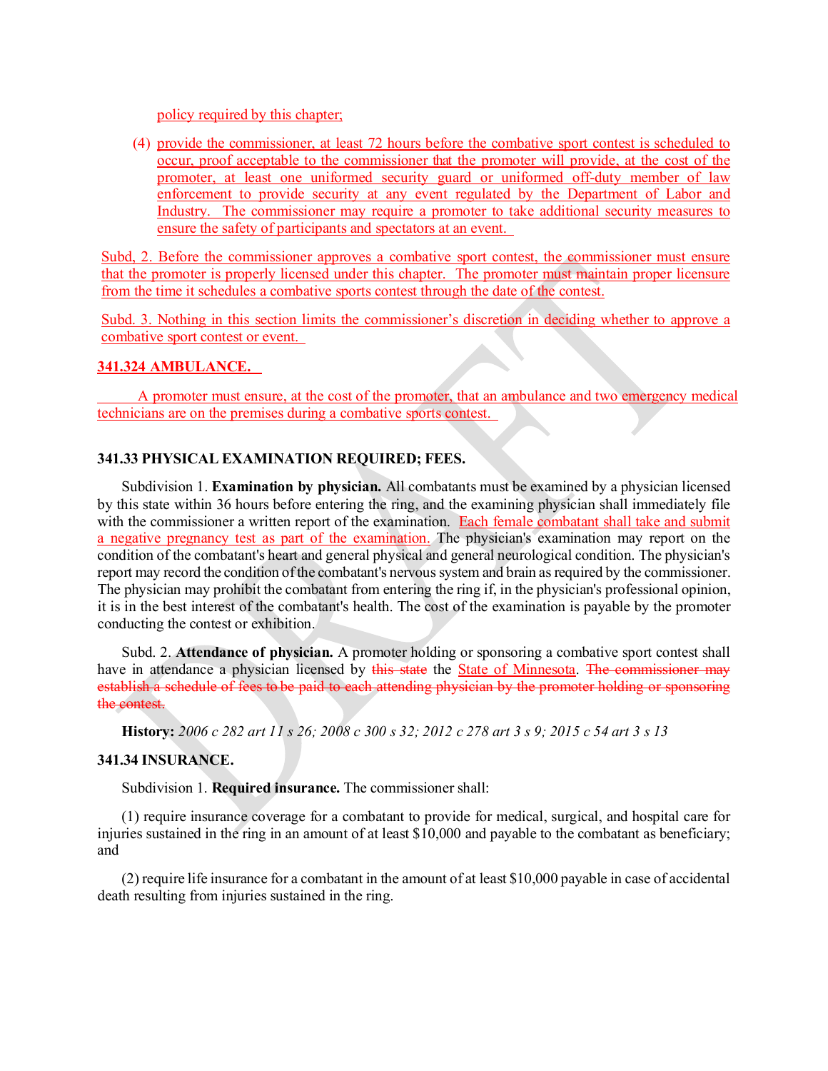policy required by this chapter;

(4) provide the commissioner, at least 72 hours before the combative sport contest is scheduled to occur, proof acceptable to the commissioner that the promoter will provide, at the cost of the promoter, at least one uniformed security guard or uniformed off-duty member of law enforcement to provide security at any event regulated by the Department of Labor and Industry. The commissioner may require a promoter to take additional security measures to ensure the safety of participants and spectators at an event.

Subd, 2. Before the commissioner approves a combative sport contest, the commissioner must ensure that the promoter is properly licensed under this chapter. The promoter must maintain proper licensure from the time it schedules a combative sports contest through the date of the contest.

Subd. 3. Nothing in this section limits the commissioner's discretion in deciding whether to approve a combative sport contest or event.

#### **341.324 AMBULANCE.**

A promoter must ensure, at the cost of the promoter, that an ambulance and two emergency medical technicians are on the premises during a combative sports contest.

## **341.33 PHYSICAL EXAMINATION REQUIRED; FEES.**

Subdivision 1. **Examination by physician.** All combatants must be examined by a physician licensed by this state within 36 hours before entering the ring, and the examining physician shall immediately file with the commissioner a written report of the examination. Each female combatant shall take and submit a negative pregnancy test as part of the examination. The physician's examination may report on the condition of the combatant's heart and general physical and general neurological condition. The physician's report may record the condition of the combatant's nervous system and brain as required by the commissioner. The physician may prohibit the combatant from entering the ring if, in the physician's professional opinion, it is in the best interest of the combatant's health. The cost of the examination is payable by the promoter conducting the contest or exhibition.

<span id="page-14-0"></span>Subd. 2. **Attendance of physician.** A promoter holding or sponsoring a combative sport contest shall have in attendance a physician licensed by this state the State of Minnesota. The commissioner may establish a schedule of fees to be paid to each attending physician by the promoter holding or sponsoring the contest.

History: 2006 c 282 art 11 s 26; 2008 c 300 s 32; 2012 c 278 art 3 s 9; 2015 c 54 art 3 s 13

#### **341.34 INSURANCE.**

Subdivision 1. **Required insurance.** The commissioner shall:

(1) require insurance coverage for a combatant to provide for medical, surgical, and hospital care for injuries sustained in the ring in an amount of at least \$10,000 and payable to the combatant as beneficiary; and

(2) require life insurance for a combatant in the amount of at least \$10,000 payable in case of accidental death resulting from injuries sustained in the ring.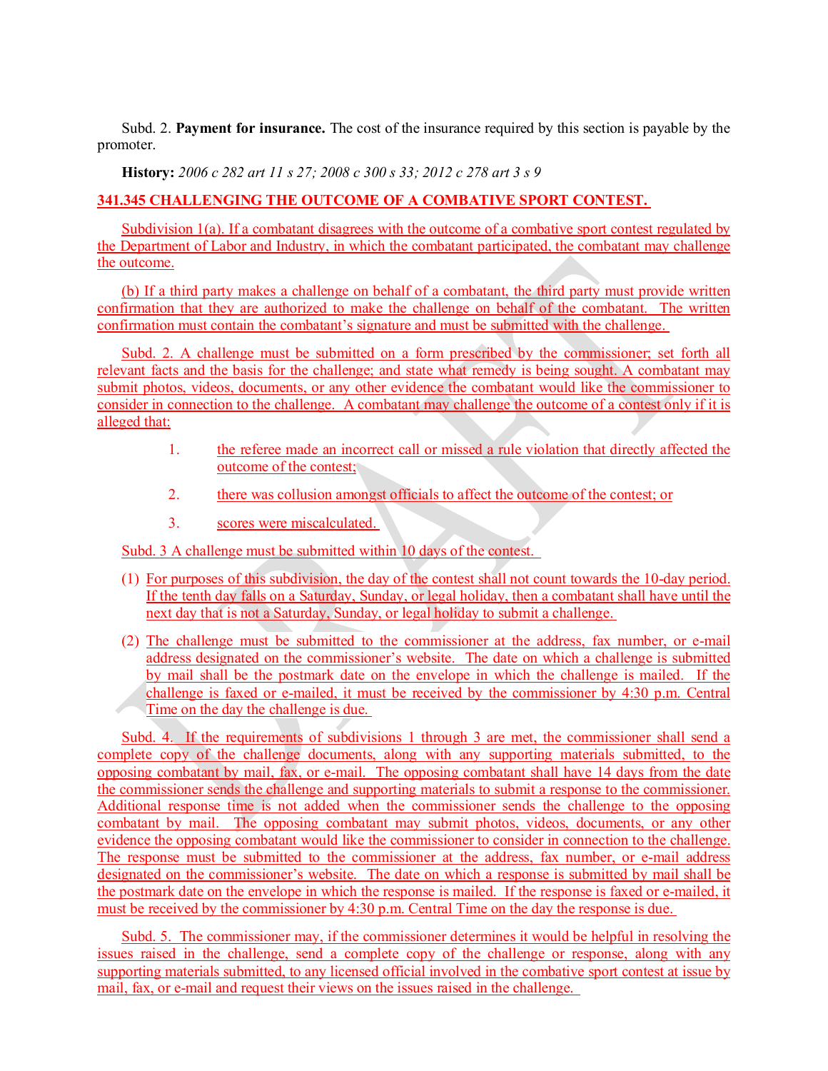<span id="page-15-0"></span>Subd. 2. **Payment for insurance.** The cost of the insurance required by this section is payable by the promoter.

**History:** *2006 c 282 art 11 s 27; 2008 c 300 s 33; 2012 c 278 art 3 s 9*

## **341.345 CHALLENGING THE OUTCOME OF A COMBATIVE SPORT CONTEST.**

Subdivision 1(a). If a combatant disagrees with the outcome of a combative sport contest regulated by the Department of Labor and Industry, in which the combatant participated, the combatant may challenge the outcome.

(b) If a third party makes a challenge on behalf of a combatant, the third party must provide written confirmation that they are authorized to make the challenge on behalf of the combatant. The written confirmation must contain the combatant's signature and must be submitted with the challenge.

Subd. 2. A challenge must be submitted on a form prescribed by the commissioner; set forth all relevant facts and the basis for the challenge; and state what remedy is being sought. A combatant may submit photos, videos, documents, or any other evidence the combatant would like the commissioner to consider in connection to the challenge. A combatant may challenge the outcome of a contest only if it is alleged that:

- 1. the referee made an incorrect call or missed a rule violation that directly affected the outcome of the contest;
- 2. there was collusion amongst officials to affect the outcome of the contest; or
- 3. scores were miscalculated.

Subd. 3 A challenge must be submitted within 10 days of the contest.

- (1) For purposes of this subdivision, the day of the contest shall not count towards the 10-day period. If the tenth day falls on a Saturday, Sunday, or legal holiday, then a combatant shall have until the next day that is not a Saturday, Sunday, or legal holiday to submit a challenge.
- (2) The challenge must be submitted to the commissioner at the address, fax number, or e-mail address designated on the commissioner's website. The date on which a challenge is submitted by mail shall be the postmark date on the envelope in which the challenge is mailed. If the challenge is faxed or e-mailed, it must be received by the commissioner by 4:30 p.m. Central Time on the day the challenge is due.

Subd. 4. If the requirements of subdivisions 1 through 3 are met, the commissioner shall send a complete copy of the challenge documents, along with any supporting materials submitted, to the opposing combatant by mail, fax, or e-mail. The opposing combatant shall have 14 days from the date the commissioner sends the challenge and supporting materials to submit a response to the commissioner. Additional response time is not added when the commissioner sends the challenge to the opposing combatant by mail. The opposing combatant may submit photos, videos, documents, or any other evidence the opposing combatant would like the commissioner to consider in connection to the challenge. The response must be submitted to the commissioner at the address, fax number, or e-mail address designated on the commissioner's website. The date on which a response is submitted by mail shall be the postmark date on the envelope in which the response is mailed. If the response is faxed or e-mailed, it must be received by the commissioner by 4:30 p.m. Central Time on the day the response is due.

Subd. 5. The commissioner may, if the commissioner determines it would be helpful in resolving the issues raised in the challenge, send a complete copy of the challenge or response, along with any supporting materials submitted, to any licensed official involved in the combative sport contest at issue by mail, fax, or e-mail and request their views on the issues raised in the challenge.